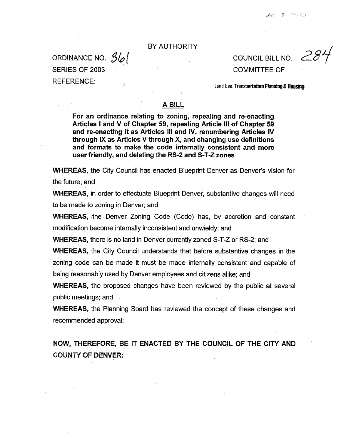## BY AUTHORITY

SERIES OF 2003 COMMITTEE OF

ORDINANCE NO.  $\frac{3}{6}$   $\frac{2}{3}$   $\frac{2}{3}$   $\frac{2}{3}$   $\frac{2}{3}$   $\frac{2}{3}$   $\frac{2}{3}$   $\frac{2}{3}$   $\frac{2}{3}$   $\frac{2}{3}$   $\frac{2}{3}$   $\frac{2}{3}$   $\frac{2}{3}$   $\frac{2}{3}$   $\frac{2}{3}$   $\frac{2}{3}$   $\frac{2}{3}$   $\frac{2}{3}$   $\frac{2}{3}$   $\frac{2}{3}$   $\frac{2}{3$ 

REFERENCE: Land Use, Transportation Planning &**Houstng** 

## A BILL

For an ordinance relating to zoning, repealing and re-enacting Articles I and V of Chapter 59, repealing Article Ill of Chapter 59 and re-enacting it as Articles Ill and IV, renumbering Articles IV through IX as Articles V through X, and changing use definitions **and formats to make the code internally consistent and more user friendly, and deleting the RS-2 and S-T-Z zones** 

**WHEREAS,** the City Council has enacted Blueprint Denver as Denver's vision for the future; and

**WHEREAS,** in order to effectuate Blueprint Denver, substantive changes will need to be made to zoning in Denver; and

**WHEREAS,** the Denver Zoning Code (Code) has, by accretion and constant modification become internally inconsistent and unwieldy; and

**WHEREAS,** there is no land in Denver currently zoned S-T-Z or RS-2; and

**WHEREAS,** the City Council understands that before substantive changes in the zoning code can be made it must be made internally consistent and capable of being reasonably used by Denver employees and citizens alike; and

**WHEREAS,** the proposed changes have been reviewed by the public at several public meetings; and

**WHEREAS,** the Planning Board has reviewed the concept of these changes and recommended approval;

**NOW, THEREFORE, BE** IT **ENACTED BY THE COUNCIL OF THE CITY AND COUNTY OF DENVER:**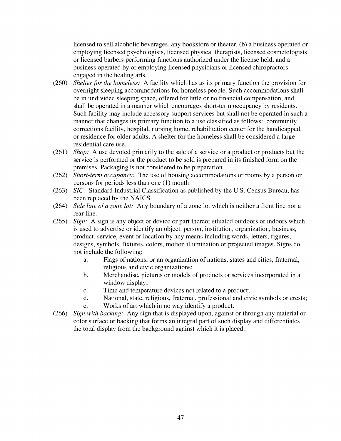licensed to sell alcoholic beverages, any bookstore or theater, (b) a business operated or employing licensed psychologists, licensed physical therapists, licensed cosmetologists or licensed barbers performing functions authorized under the license held, and a business operated by or employing licensed physicians or licensed chiropractors engaged in the healing arts.

- (260) *Shelter for the homeless:* A facility which has as its primary function the provision for overnight sleeping accommodations for homeless people. Such accommodations shall be in undivided sleeping space, offered for little or no financial compensation, and shall be operated in a manner which encourages short-term occupancy by residents. Such facility may include accessory support services but shall not be operated in such a manner that changes its primary function to a use classified as follows: community corrections facility, hospital, nursing home, rehabilitation center for the handicapped, or residence for older adults. A shelter for the homeless shall be considered a large residential care use.
- (261) *Shop:* A use devoted primarily to the sale of a service or a product or products but the service is performed or the product to be sold is prepared in its finished form on the premises. Packaging is not considered to be preparation.
- (262) *Short-term occupancy:* The use of housing accommodations or rooms by a person or persons for periods less than one (I) month.
- (263) *SIC:* Standard Industrial Classification as published by the U.S. Census Bureau, has been replaced by the NAICS.
- (264) *Side line ofa zone lot:* Any boundary of a zone lot which is neither a front line nor a rear line.
- (265) *Sign:* A sign is any object or device or part thereof situated outdoors or indoors which is used to advertise or identify an object, person, institution, organization, business, product, service, event or location by any means including words, letters, figures, designs, symbols, fixtures, colors, motion illumination or projected images. Signs do not include the following:
	- a. Flags of nations, or an organization of nations, states and cities, fraternal, religious and civic organizations;
	- b. Merchandise, pictures or models of products or services incorporated in a window display;
	- c. Time and temperature devices not related to a product;
	- d. National, state, religious, fraternal, professional and civic symbols or crests; e. Works of art which in no way identify a product.
- (266) *Sign with backing:* Any sign that is displayed upon, against or through any material or color surface or backing that forms an integral part of such display and differentiates the total display from the background against which it is placed.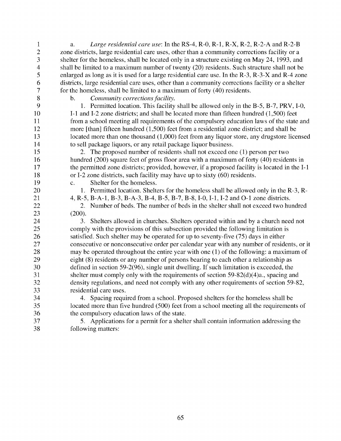1 2 3 4 5 6 7 8 9 10 11 12 13 14 15 16 a. *Large residential care use:* In the RS-4, R-0, R-1, R-X, R-2, R-2-A and R-2-B zone districts, large residential care uses, other than a community corrections facility or a shelter for the homeless, shall be located only in a structure existing on May 24, 1993, and shall be limited to a maximum number of twenty (20) residents. Such structure shall not be enlarged as long as it is used for a large residential care use. In the R-3, R-3-X and R-4 zone districts, large residential care uses, other than a community corrections facility or a shelter for the homeless, shall be limited to a maximum of forty (40) residents. b. *Community corrections facility.*  1. Permitted location. This facility shall be allowed only in the B-5, B-7, PRV, 1-0, 1-1 and 1-2 zone districts; and shall be located more than fifteen hundred (1,500) feet from a school meeting all requirements of the compulsory education laws of the state and more [than] fifteen hundred (1,500) feet from a residential zone district; and shall be located more than one thousand (1,000) feet from any liquor store, any drugstore licensed to sell package liquors, or any retail package liquor business. 2. The proposed number of residents shall not exceed one (1) person per two

hundred (200) square feet of gross floor area with a maximum of forty (40) residents in the permitted zone districts; provided, however, if a proposed facility is located in the 1-1 or 1-2 zone districts, such facility may have up to sixty (60) residents.

c. Shelter for the homeless.

1. Permitted location. Shelters for the homeless shall be allowed only in the R-3, R-

4, R-5, B-A-1, B-3, B-A-3, B-4, B-5, B-7, B-8, 1-0, 1-1, 1-2 and 0-1 zone districts.

2. Number of beds. The number of beds in the shelter shall not exceed two hundred (200).

3. Shelters allowed in churches. Shelters operated within and by a church need not comply with the provisions of this subsection provided the following limitation is satisfied. Such shelter may be operated for up to seventy-five (75) days in either consecutive or nonconsecutive order per calendar year with any number of residents, or it may be operated throughout the entire year with one (1) of the following: a maximum of eight (8) residents or any number of persons bearing to each other a relationship as defined in section 59-2(96), single unit dwelling. If such limitation is exceeded, the shelter must comply only with the requirements of section  $59-82(d)(4)a$ , spacing and density regulations, and need not comply with any other requirements of section 59-82, residential care uses.

34 35 36 4. Spacing required from a school. Proposed shelters for the homeless shall be located more than five hundred (500) feet from a school meeting all the requirements of the compulsory education laws of the state.

37 38 5. Applications for a permit for a shelter shall contain information addressing the following matters: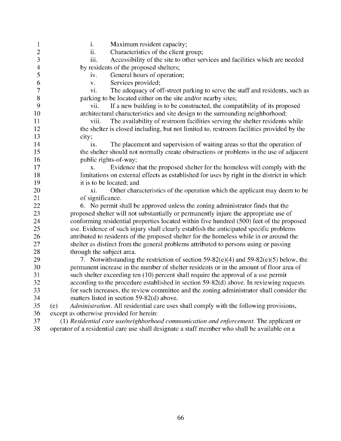- 1 2 3 4 5 6 7 8 9 10 11 12 13 14 15 16 17 18 19 20 21 22 23 24 25 26 27 28 29 30 31 32 33 34 35 36 37 i. Maximum resident capacity; ii. Characteristics of the client group; iii. Accessibility of the site to other services and facilities which are needed by residents of the proposed shelters; iv. General hours of operation; v. Services provided; vi. The adequacy of off-street parking to serve the staff and residents, such as parking to be located either on the site and/or nearby sites; vii. If a new building is to be constructed, the compatibility of its proposed architectural characteristics and site design to the surrounding neighborhood; viii. The availability of restroom facilities serving the shelter residents while the shelter is closed including, but not limited to, restroom facilities provided by the city; ix. The placement and supervision of waiting areas so that the operation of the shelter should not normally create obstructions or problems in the use of adjacent public rights-of-way; x. Evidence that the proposed shelter for the homeless will comply with the limitations on external effects as established for uses by right in the district in which it is to be located; and xi. Other characteristics of the operation which the applicant may deem to be of significance. 6. No permit shall be approved unless the zoning administrator finds that the proposed shelter will not substantially or permanently injure the appropriate use of conforming residential properties located within five hundred (500) feet of the proposed use. Evidence of such injury shall clearly establish the anticipated specific problems attributed to residents of the proposed shelter for the homeless while in or around the shelter as distinct from the general problems attributed to persons using or passing through the subject area. 7. Notwithstanding the restriction of section 59-82(e)(4) and 59-82(e)(5) below, the permanent increase in the number of shelter residents or in the amount of floor area of such shelter exceeding ten (10) percent shall require the approval of a use permit according to the procedure established in section 59-82(d) above. In reviewing requests for such increases, the review committee and the zoning administrator shall consider the matters listed in section 59-82(d) above. (e) *Administration.* All residential care uses shall comply with the following provisions, except as otherwise provided for herein: (1) *Residential care use/neighborhood communication and enforcement.* The applicant or
- 38 operator of a residential care use shall designate a staff member who shall be available on a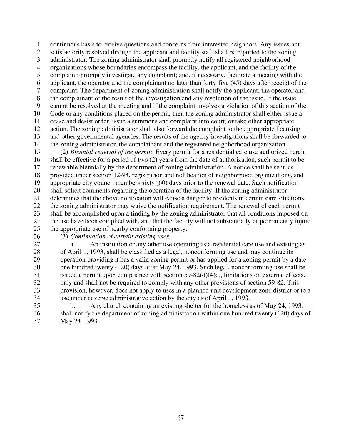1 2 3 4 5 6 7 8 9 10 11 12 13 14 continuous basis to receive questions and concerns from interested neighbors. Any issues not satisfactorily resolved through the applicant and facility staff shall be reported to the zoning administrator. The zoning administrator shall promptly notify all registered neighborhood organizations whose boundaries encompass the facility, the applicant, and the facility of the complaint; promptly investigate any complaint; and, if necessary, facilitate a meeting with the applicant, the operator and the complainant no later than forty-five (45) days after receipt of the complaint. The department of zoning administration shall notify the applicant, the operator and the complainant of the result of the investigation and any resolution of the issue. If the issue cannot be resolved at the meeting and if the complaint involves a violation of this section of the Code or any conditions placed on the permit, then the zoning administrator shall either issue a cease and desist order, issue a summons and complaint into court, or take other appropriate action. The zoning administrator shall also forward the complaint to the appropriate licensing and other governmental agencies. The results of the agency investigations shall be forwarded to the zoning administrator, the complainant and the registered neighborhood organization.

15 16 17 18 19 20 21 22 23 24 25 (2) *Biennial renewal ofthe permit.* Every permit for a residential care use authorized herein shall be effective for a period of two (2) years from the date of authorization, such permit to be renewable biennially by the department of zoning administration. A notice shall be sent, as provided under section 12-94, registration and notification of neighborhood organizations, and appropriate city council members sixty (60) days prior to the renewal date. Such notification shall solicit comments regarding the operation of the facility. If the zoning administrator determines that the above notification will cause a danger to residents in certain care situations, the zoning administrator may waive the notification requirement. The renewal of each permit shall be accomplished upon a finding by the zoning administrator that all conditions imposed on the use have been complied with, and that the facility will not substantially or permanently injure the appropriate use of nearby conforming property.

26

(3) *Continuation of certain existing uses.* 

27 28 29 30 31 32 33 34 An institution or any other use operating as a residential care use and existing as of April 1, 1993, shall be classified as a legal, nonconforming use and may continue its operation providing it has a valid zoning permit or has applied for a zoning permit by a date one hundred twenty (120) days after May 24, 1993. Such legal, nonconforming use shall be issued a permit upon compliance with section  $59-82(d)(4)d$ ., limitations on external effects, only and shall not be required to comply with any other provisions of section 59-82. This provision, however, does not apply to uses in a planned unit development zone district or to a use under adverse administrative action by the city as of April 1, 1993.

35 36 37 b. Any church containing an existing shelter for the homeless as of May 24, 1993, shall notify the department of zoning administration within one hundred twenty (120) days of May 24, 1993.